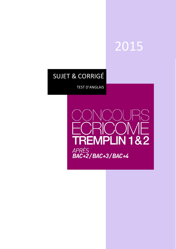# 2015

## SUJET & CORRIGÉ

TEST D'ANGLAIS

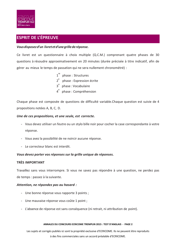

## **ESPRIT DE L'ÉPREUVE**

## *Vousdisposezd'un livretetd'unegrillederéponse.*

Ce livret est un questionnaire à choix multiple (Q.C.M.) comprenant quatre phases de 30 questions à résoudre approximativement en 20 minutes (durée précisée à titre indicatif, afin de gérer au mieux le temps de passation qui ne sera nullement chronométré) :

> 1<sup>re</sup> phase : Structures 2<sup>e</sup> phase : Expression écrite 3<sup>e</sup> phase: Vocabulaire 4<sup>e</sup> phase : Compréhension

Chaque phase est composée de questions de difficulté variable.Chaque question est suivie de 4 propositions notées A, B, C, D.

## *Une de ces propositions, et une seule, est correcte.*

- Vous devez utiliser un feutre ou un stylo bille noir pour cocher la case correspondante à votre réponse.
- Vous avez la possibilité de ne noircir aucune réponse.
- Le correcteur blanc est interdit.

## *Vous devez porter vos réponses sur la grille unique de réponses.*

## **TRÈS IMPORTANT**

Travaillez sans vous interrompre. Si vous ne savez pas répondre à une question, ne perdez pas de temps : passez à la suivante.

## *Attention, ne répondez pas au hasard :*

- Une bonne réponse vous rapporte 3 points ;
- Une mauvaise réponse vous coûte 1 point ;
- L'absence de réponse est sans conséquence (ni retrait, ni attribution de point).

#### **ANNALES DU CONCOURS ECRICOME TREMPLIN 2015 : TEST D'ANGLAIS - PAGE 2**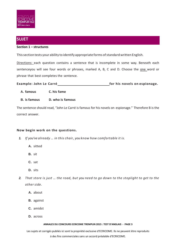

## **SUJET**

## **Section 1 – structures**

This section tests your ability to identify appropriate forms of standard written English.

Directions: each question contains a sentence that is incomplete in some way. Beneath each sentenceyou will see four words or phrases, marked A, B, C and D. Choose the one word or phrase that best completes the sentence.

**Example: John Le Carré** *Carré Carré* **<b>***for his novels on espionage.* 

- **A. famous C. his fame**
- **B. is famous D. who is famous**

The sentence should read, "John Le Carré is famous for his novels on espionage." Therefore B is the correct answer.

## **Now begin work on the questions.**

- *1. If you've already … in this chair, you know how comfortable it is.*
	- **A.** sitted
	- **B.** sit
	- **C.** sat
	- **D.** sits
- 2. That store is just ... the road, but you need to go down to the stoplight to get to the *other side.*
	- **A.** about
	- **B.** against
	- **C.** amidst
	- **D.** across

#### **ANNALES DU CONCOURS ECRICOME TREMPLIN 2015 : TEST D'ANGLAIS - PAGE 3**

Les sujets et corrigés publiés ici sont la propriété exclusive d'ECRICOME. Ils ne peuvent être reproduits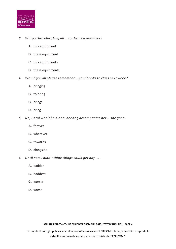

## *3. Will you be relocating all … to the new premises?*

- **A.** this equipment
- **B.** these equipment
- **C.** this equipments
- **D.** these equipments
- *4. Would you all please remember … your books to class next week?*
	- **A.** bringing
	- **B.** to bring
	- **C.** brings
	- **D.** bring
- *5. No, Carol won't be alone: her dog accompanies her … she goes.*
	- **A.** forever
	- **B.** wherever
	- **C.** towards
	- **D.** alongside
- *6. Until now, I didn't think things could get any ... .*
	- **A.** badder
	- **B.** baddest
	- **C.** worser
	- **D.** worse

#### **ANNALES DU CONCOURS ECRICOME TREMPLIN 2015 : TEST D'ANGLAIS - PAGE 4**

Les sujets et corrigés publiés ici sont la propriété exclusive d'ECRICOME. Ils ne peuvent être reproduits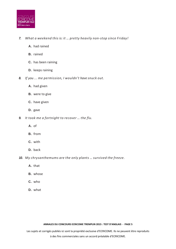

- *7. What a weekend this is: it … pretty heavily non-stop since Friday!*
	- **A.** had rained
	- **B.** rained
	- **C.** has been raining
	- **D.** keeps raining
- *8. If you ... me permission, I wouldn't have snuck out.*
	- **A.** had given
	- **B.** were to give
	- **C.** have given
	- **D.** gave
- *9. It took me a fortnight to recover … the flu.*
	- **A.** of
	- **B.** from
	- **C.** with
	- **D.** back
- *10. My chrysanthemums are the only plants … survived the freeze.*
	- **A.** that
	- **B.** whose
	- **C.** who
	- **D.** what

#### **ANNALES DU CONCOURS ECRICOME TREMPLIN 2015 : TEST D'ANGLAIS - PAGE 5**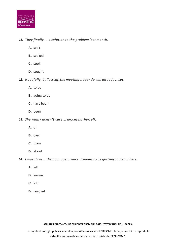

- *11. They finally ... a solution to the problem last month.*
	- **A.** seek
	- **B.** seeked
	- **C.** sook
	- **D.** sought

*12. Hopefully, by Tuesday, the meeting's agenda will already … set.*

- **A.** to be
- **B.** going to be
- **C.** have been
- **D.** been
- 13. She really doesn't care ... anyone butherself.
	- **A.** of
	- **B.** over
	- **C.** from
	- **D.** about
- *14. I must have … the door open, since it seems to be getting colder in here.*
	- **A.** left
	- **B.** leaven
	- **C.** loft
	- **D.** laughed

#### **ANNALES DU CONCOURS ECRICOME TREMPLIN 2015 : TEST D'ANGLAIS - PAGE 6**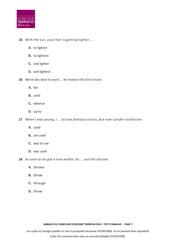

*15. With the sun, your hair is getting lighter … .*

- **A.** to lighter
- **B.** to lightest
- **C.** and lighter
- **D.** and lightest

*16. We've decided to wait … he makes the first move.*

- **A.** for
- **B.** until
- **C.** whence
- **D.** up to

*17. When I was young, I ... to love fantasy stories, but now I prefer nonfiction.*

- **A.** used
- **B.** am used
- **C.** was to use
- **D.** was used

*18. As soon as he got a new wallet, he ... out the old one.*

- **A.** thrown
- **B.** throw
- **C.** through
- **D.** threw

#### **ANNALES DU CONCOURS ECRICOME TREMPLIN 2015 : TEST D'ANGLAIS - PAGE 7**

Les sujets et corrigés publiés ici sont la propriété exclusive d'ECRICOME. Ils ne peuvent être reproduits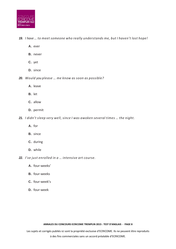

- *19. I have … to meet someone who really understands me, but I haven't lost hope!*
	- **A.** ever
	- **B.** never
	- **C.** yet
	- **D.** since
- *20. Would you please … me know as soon as possible?*
	- **A.** leave
	- **B.** let
	- **C.** allow
	- **D.** permit
- *21. I didn't sleep very well, since I was awoken several times … the night.*
	- **A.** for
	- **B.** since
	- **C.** during
	- **D.** while
- *22. I've just enrolled in a … intensive art course.*
	- **A.** four-weeks'
	- **B.** four-weeks
	- **C.** four-week's
	- **D.** four-week

#### **ANNALES DU CONCOURS ECRICOME TREMPLIN 2015 : TEST D'ANGLAIS - PAGE 8**

Les sujets et corrigés publiés ici sont la propriété exclusive d'ECRICOME. Ils ne peuvent être reproduits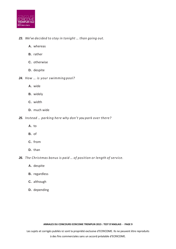

- *23. We've decided to stay in tonight … than going out.*
	- **A.** whereas
	- **B.** rather
	- **C.** otherwise
	- **D.** despite
- *24. How … is your swimming pool?*
	- **A.** wide
	- **B.** widely
	- **C.** width
	- **D.** much wide
- *25. Instead … parking here why don't you park over there?*
	- **A.** to
	- **B.** of
	- **C.** from
	- **D.** than
- *26. The Christmas bonus is paid … of position or length of service.*
	- **A.** despite
	- **B.** regardless
	- **C.** although
	- **D.** depending

#### **ANNALES DU CONCOURS ECRICOME TREMPLIN 2015 : TEST D'ANGLAIS - PAGE 9**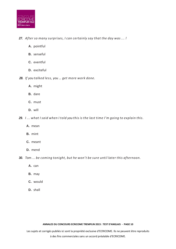

*27. After so many surprises, I can certainly say that the day was ... !*

- **A.** pointful
- **B.** senseful
- **C.** eventful
- **D.** exciteful

*28. If you talked less, you … get more work done.*

- **A.** might
- **B.** dare
- **C.** must
- **D.** will

29. I... what I said when I told you this is the last time I'm going to explain this.

- **A.** mean
- **B.** mint
- **C.** meant
- **D.** mend
- *30. Tom ... be coming tonight, but he won't be sure until later this afternoon.*
	- **A.** can
	- **B.** may
	- **C.** would
	- **D.** shall

#### **ANNALES DU CONCOURS ECRICOME TREMPLIN 2015 : TEST D'ANGLAIS - PAGE 10**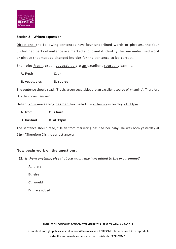

## **Section 2 – Written expression**

Directions: the following sentences have four underlined words or phrases. the four underlined parts ofsentence are marked a, b, c and d. identify the one underlined word or phrase that must be changed inorder for the sentence to be correct.

Example: Fresh, green vegetables are an excellent source vitamins.

- **A. Fresh C. an**
- **B. vegetables D. source**

The sentence should read, "Fresh, green vegetables are an excellent source of vitamins". Therefore D is the correct answer.

Helen from marketing has had her baby! He is born yesterday at 11pm.

- **A. from C. is born**
- **B. hashad D. at 11pm**

The sentence should read, "Helen from marketing has had her baby! He was born yesterday at 11pm".Therefore C is the correct answer.

## **Now begin work on the questions.**

- *31. Is there anything else that you would like have added to the programme?*
	- **A.** there
	- **B.** else
	- **C.** would
	- **D.** have added

#### **ANNALES DU CONCOURS ECRICOME TREMPLIN 2015 : TEST D'ANGLAIS - PAGE 11**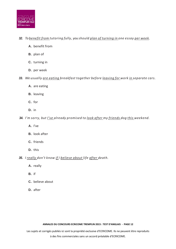

## *32. To benefit from tutoring fully, you should plan of turning in one essay per week.*

- **A.** benefit from
- **B.** plan of
- **C.** turning in
- **D.** per week
- *33. We usually are eating breakfast together before leaving for work in separate cars.*
	- **A.** are eating
	- **B.** leaving
	- **C.** for
	- **D.** in

*34. I'm sorry, but I've already promised to look after my friends dog this weekend.*

- **A.** I've
- **B.** look after
- **C.** friends
- **D.** this
- *35. I really don't know if I believe about life after death.*
	- **A.** really
	- **B.** if
	- **C.** believe about
	- **D.** after

#### **ANNALES DU CONCOURS ECRICOME TREMPLIN 2015 : TEST D'ANGLAIS - PAGE 12**

Les sujets et corrigés publiés ici sont la propriété exclusive d'ECRICOME. Ils ne peuvent être reproduits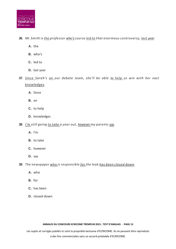

## *36. Mr. Smith is the professor who's course led to that enormous controversy, last year.*

- **A.** the
- **B.** who's
- **C.** led to
- **D.** last year
- *37. Since Sarah's on our debate team, she'll be able to help us win with her vast knowledges.*
	- **A.** Since
	- **B.** on
	- **C.** to help
	- **D.** knowledges
- *38. I'm still going to take a year out, however my parents say.*
	- **A.** I'm
	- **B.** to take
	- **C.** however
	- **D.** say

*39. The newspaper who is responsible for the leak has been closed down.*

- **A.** who
- **B.** for
- **C.** has been
- **D.** closed down

#### **ANNALES DU CONCOURS ECRICOME TREMPLIN 2015 : TEST D'ANGLAIS - PAGE 13**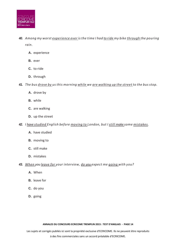

- *40. Among my worst experience ever is the time I had to ride my bike through the pouring rain.*
	- **A.** experience
	- **B.** ever
	- **C.** to ride
	- **D.** through

## *41. The bus drove by us this morning while we are walking up the street to the bus stop.*

- **A.** drove by
- **B.** while
- **C.** are walking
- **D.** up the street

## *42. I have studied English before moving to London, but I still make some mistakes.*

- **A.** have studied
- **B.** moving to
- **C.** still make
- **D.** mistakes

## *43. When you leave for your interview, do you expect me going with you?*

- **A.** When
- **B.** leave for
- **C.** do you
- **D.** going

#### **ANNALES DU CONCOURS ECRICOME TREMPLIN 2015 : TEST D'ANGLAIS - PAGE 14**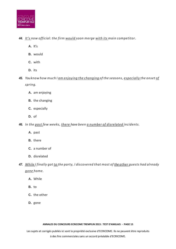

## *44. It's now official: the firm would soon merge with its main competitor.*

- **A.** It's
- **B.** would
- **C.** with
- **D.** its
- *45. Youknow how much I am enjoying the changing of the seasons, especially the onset of spring.*
	- **A.** am enjoying
	- **B.** the changing
	- **C.** especially
	- **D.** of
- *46. In the past few weeks, there have been a number of disrelated incidents.*
	- **A.** past
	- **B.** there
	- **C.** a number of
	- **D.** disrelated
- *47. While I finally got to the party, I discovered that most of the other guests had already gone home.*
	- **A.** While
	- **B.** to
	- **C.** the other
	- **D.** gone

#### **ANNALES DU CONCOURS ECRICOME TREMPLIN 2015 : TEST D'ANGLAIS - PAGE 15**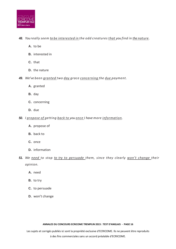

## *48. You really seem to be interested in the odd creatures that you find in the nature.*

- **A.** to be
- **B.** interested in
- **C.** that
- **D.** the nature
- *49. We've been granted two day grace concerning the due payment.*
	- **A.** granted
	- **B.** day
	- **C.** concerning
	- **D.** due
- *50. I propose of getting back to you once I have more information.*
	- **A.** propose of
	- **B.** back to
	- **C.** once
	- **D.** information
- *51. We need to stop to try to persuade them, since they clearly won't change their opinion.*
	- **A.** need
	- **B.** to try
	- **C.** to persuade
	- **D.** won't change

#### **ANNALES DU CONCOURS ECRICOME TREMPLIN 2015 : TEST D'ANGLAIS - PAGE 16**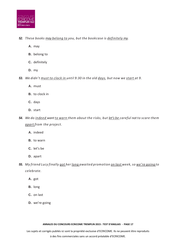

## *52. These books may belong to you, but the bookcase is definitely my.*

- **A.** may
- **B.** belong to
- **C.** definitely
- **D.** my
- *53. We didn't must to clock in until 9:30 in the old days, but now we start at 9.*
	- **A.** must
	- **B.** to clock in
	- **C.** days
	- **D.** start
- *54. We do indeed want to warn them about the risks, but let's be careful not to scare them apart from the project.*
	- **A.** indeed
	- **B.** to warn
	- **C.** let's be
	- **D.** apart
- *55. My friend Lucy finally got her long awaited promotion on last week, so we're going to celebrate.*
	- **A.** got
	- **B.** long
	- **C.** on last
	- **D.** we're going

#### **ANNALES DU CONCOURS ECRICOME TREMPLIN 2015 : TEST D'ANGLAIS - PAGE 17**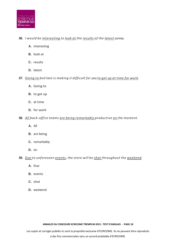

## *56. I would be interesting to look at the results of the latest survey.*

- **A.** interesting
- **B.** look at
- **C.** results
- **D.** latest

*57. Going to bed late is making it difficult for you to get up at time for work.*

- **A.** Going to
- **B.** to get up
- **C.** at time
- **D.** for work
- *58. All back-office teams are being remarkably productive on the moment.*
	- **A.** All
	- **B.** are being
	- **C.** remarkably
	- **D.** on
- *59. Due to unforeseen events, the store will be shot throughout the weekend.*
	- **A.** Due
	- **B.** events
	- **C.** shot
	- **D.** weekend

#### **ANNALES DU CONCOURS ECRICOME TREMPLIN 2015 : TEST D'ANGLAIS - PAGE 18**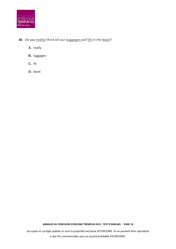

## *60. Do you really think all our luggages will fit in the boot?*

**A.** really

- **B.** luggages
- **C.** fit
- **D.** boot

**ANNALES DU CONCOURS ECRICOME TREMPLIN 2015 : TEST D'ANGLAIS - PAGE 19**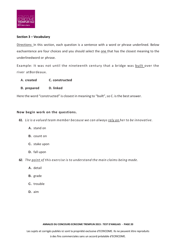

## **Section 3 – Vocabulary**

Directions: In this section, each question is a sentence with a word or phrase underlined. Below eachsentence are four choices and you should select the one that has the closest meaning to the underlinedword or phrase.

Example: It was not until the nineteenth century that a bridge was built over the river atBordeaux.

- **A. created C. constructed**
- **B. prepared D. linked**

Here the word "constructed" is closest in meaning to "built", so C. is the best answer.

## **Now begin work on the questions.**

*61. Liz is a valued team member because we can always rely on her to be innovative.*

- **A.** stand on
- **B.** count on
- **C.** stake upon
- **D.** fall upon
- *62. The point of this exercise is to understand the main claims being made.*
	- **A.** detail
	- **B.** grade
	- **C.** trouble
	- **D.** aim

#### **ANNALES DU CONCOURS ECRICOME TREMPLIN 2015 : TEST D'ANGLAIS - PAGE 20**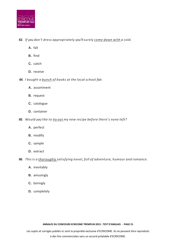

## *63. If you don't dress appropriately you'llsurely come down with a cold.*

- **A.** fall
- **B.** find
- **C.** catch
- **D.** receive

## *64. I bought a bunch of books at the local school fair.*

- **A.** assortment
- **B.** request
- **C.** catalogue
- **D.** container
- *65. Would you like to try out my new recipe before there's none left?*
	- **A.** perfect
	- **B.** modify
	- **C.** sample
	- **D.** extract

*66. This is a thoroughly satisfying novel, full of adventure, humour and romance.*

- **A.** inevitably
- **B.** amusingly
- **C.** boringly
- **D.** completely

#### **ANNALES DU CONCOURS ECRICOME TREMPLIN 2015 : TEST D'ANGLAIS - PAGE 21**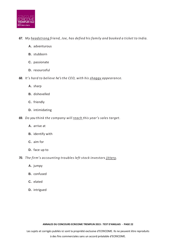

## *67. My headstrong friend, Joe, has defied his family and booked a ticket to India.*

- **A.** adventurous
- **B.** stubborn
- **C.** passionate
- **D.** resourceful
- *68. It's hard to believe he'sthe CEO, with his shaggy appearance.*
	- **A.** sharp
	- **B.** dishevelled
	- **C.** friendly
	- **D.** intimidating
- *69. Do you think the company will reach this year's sales target.*
	- **A.** arrive at
	- **B.** identify with
	- **C.** aim for
	- **D.** face up to
- *70. The firm's accounting troubles left stock investors jittery.*
	- **A.** jumpy
	- **B.** confused
	- **C.** elated
	- **D.** intrigued

#### **ANNALES DU CONCOURS ECRICOME TREMPLIN 2015 : TEST D'ANGLAIS - PAGE 22**

Les sujets et corrigés publiés ici sont la propriété exclusive d'ECRICOME. Ils ne peuvent être reproduits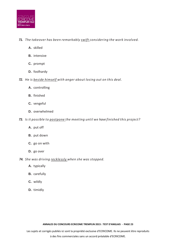

## *71. The takeover has been remarkably swift considering the work involved.*

- **A.** skilled
- **B.** intensive
- **C.** prompt
- **D.** foolhardy

## *72. He is beside himself with anger about losing out on this deal.*

- **A.** controlling
- **B.** finished
- **C.** vengeful
- **D.** overwhelmed
- *73. Is it possible to postpone the meeting until we have finished this project?*
	- **A.** put off
	- **B.** put down
	- **C.** go on with
	- **D.** go over

## *74. She was driving recklessly when she was stopped.*

- **A.** typically
- **B.** carefully
- **C.** wildly
- **D.** timidly

#### **ANNALES DU CONCOURS ECRICOME TREMPLIN 2015 : TEST D'ANGLAIS - PAGE 23**

Les sujets et corrigés publiés ici sont la propriété exclusive d'ECRICOME. Ils ne peuvent être reproduits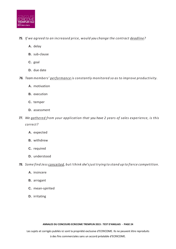

## *75. If we agreed to an increased price, would you change the contract deadline?*

- **A.** delay
- **B.** sub-clause
- **C.** goal
- **D.** due date
- *76. Team members' performance is constantly monitored so as to improve productivity.*
	- **A.** motivation
	- **B.** execution
	- **C.** temper
	- **D.** assessment
- *77. We gathered from your application that you have 2 years of sales experience, is this correct?*
	- **A.** expected
	- **B.** withdrew
	- **C.** required
	- **D.** understood

*78. Some find Jess conceited, but I think she'sjust trying to stand up to fierce competition.*

- **A.** insincere
- **B.** arrogant
- **C.** mean-spirited
- **D.** irritating

#### **ANNALES DU CONCOURS ECRICOME TREMPLIN 2015 : TEST D'ANGLAIS - PAGE 24**

Les sujets et corrigés publiés ici sont la propriété exclusive d'ECRICOME. Ils ne peuvent être reproduits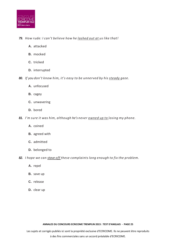

## *79. How rude: I can't believe how he lashed out at us like that!*

- **A.** attacked
- **B.** mocked
- **C.** tricked
- **D.** interrupted
- *80. If you don't know him, it's easy to be unnerved by his steady gaze.*
	- **A.** unfocused
	- **B.** cagey
	- **C.** unwavering
	- **D.** bored
- *81. I'm sure it was him, although he's never owned up to losing my phone.*
	- **A.** coined
	- **B.** agreed with
	- **C.** admitted
	- **D.** belonged to
- *82. I hope we can stave off these complaints long enough to fix the problem.*
	- **A.** repel
	- **B.** save up
	- **C.** release
	- **D.** clear up

#### **ANNALES DU CONCOURS ECRICOME TREMPLIN 2015 : TEST D'ANGLAIS - PAGE 25**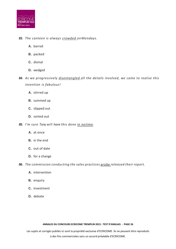

## *83. The canteen is always crowded onMondays.*

- **A.** barred
- **B.** packed
- **C.** dismal
- **D.** wedged
- *84. As we progressively disentangled all the details involved, we came to realise this invention is fabulous!*
	- **A.** stirred up
	- **B.** summed up
	- **C.** slipped out
	- **D.** sorted out

## *85. I'm sure Tony will have this done in notime.*

- **A.** at once
- **B.** in the end
- **C.** out of date
- **D.** for a change

## *86. The commission conducting the sales practices probe released their report.*

- **A.** intervention
- **B.** enquiry
- **C.** investment
- **D.** debate

#### **ANNALES DU CONCOURS ECRICOME TREMPLIN 2015 : TEST D'ANGLAIS - PAGE 26**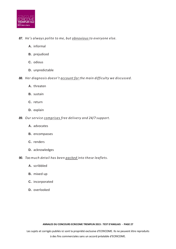

## *87. He's always polite to me, but obnoxious to everyone else.*

- **A.** informal
- **B.** prejudiced
- **C.** odious
- **D.** unpredictable
- *88. Her diagnosis doesn't account for the main difficulty we discussed.*
	- **A.** threaten
	- **B.** sustain
	- **C.** return
	- **D.** explain
- *89. Our service comprises free delivery and 24/7 support.*
	- **A.** advocates
	- **B.** encompasses
	- **C.** renders
	- **D.** acknowledges
- *90. Too much detail has been packed into these leaflets.*
	- **A.** scribbled
	- **B.** mixed up
	- **C.** incorporated
	- **D.** overlooked

#### **ANNALES DU CONCOURS ECRICOME TREMPLIN 2015 : TEST D'ANGLAIS - PAGE 27**

Les sujets et corrigés publiés ici sont la propriété exclusive d'ECRICOME. Ils ne peuvent être reproduits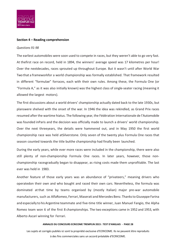

#### **Section 4 – Reading comprehension**

#### *Questions 91-98*

The earliest automobiles were soon used to compete in races, but they weren't able to go very fast. At thefirst race on record, held in 1894, the winners' average speed was 17 kilometres per hour! Over the nextdecades, races sprouted up throughout Europe. But it wasn't until after World War Two that a frameworkfor a world championship was formally established. That framework resulted in different "formulae" forraces, each with their own rules. Among these, the Formula One (or "Formula A," as it was also initially known) was the highest class of single-seater racing (meaning it allowed the largest motors).

The first discussions about a world drivers' championship actually dated back to the late 1930s, but planswere shelved with the onset of the war. In 1946 the idea was rekindled, as Grand Prix races resumed after the wartime hiatus. The following year, the Fédération Internationale de l'Automobile was founded inParis and the decision was officially made to launch a drivers' world championship. Over the next threeyears, the details were hammered out, and in May 1950 the first world championship race was held atSilverstone. Only seven of the twenty plus Formula One races that season counted towards the title butthe championship had finally been launched.

During the early years, while ever more races were included in the championship, there were also still plenty of non-championship Formula One races. In later years, however, those nonchampionship racesgradually began to disappear, as rising costs made them unprofitable. The last ever was held in 1983.

Another feature of those early years was an abundance of "privateers," meaning drivers who operatedon their own and who bought and raced their own cars. Nevertheless, the formula was dominated atthat time by teams organised by (mostly Italian) major pre-war automobile manufacturers, such as AlfaRomeo, Ferrari,Maserati and Mercedes Benz. ThankstoGiuseppe Farina and especially to his Argentine teammate and five-time title winner, Juan Manuel Fangio, the Alpha Romeo team won 6 of the first 8 championships. The two exceptions came in 1952 and 1953, with Alberto Ascari winning for Ferrari.

#### **ANNALES DU CONCOURS ECRICOME TREMPLIN 2015 : TEST D'ANGLAIS - PAGE 28**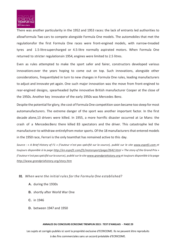

There was another particularity in the 1952 and 1953 races: the lack of entrants led authorities to allowFormula Two cars to compete alongside Formula One models. The automobiles that met the regulationsfor the first Formula One races were front-engined models, with narrow-treaded tyres and 1.5-litresupercharged or 4.5-litre normally aspirated motors. When Formula One returned to stricter regulationsin 1954, engines were limited to 2.5 litres.

Even as rules attempted to make the sport safer and fairer, constructors developed various innovations over the years hoping to come out on top. Such innovations, alongside other considerations, frequentlyled in turn to new changes in Formula One rules, leading manufacturers to adjust and innovate yet again. One such major innovation was the move from front-engined to rear-engined designs, spearheaded bythe innovative British manufacturer Cooper at the close of the 1950s. Another key innovator of the early 1950s was Mercedes Benz.

Despite the potential for glory, the cost of Formula One competition soon became too steep for most automanufacturers. The extreme danger of the sport was another important factor. In the first decade alone,13 drivers were killed. In 1955, a more horrific disaster occurred at Le Mans: the crash of a MercedesBenz there killed 83 spectators and the driver. This catastrophe led the manufacturer to withdraw entirelyfrom motor sports. Of the 18 manufacturers that entered models in the 1950 race, Ferrari is the only teamthat has remained active to this day.

Source : « A Brief History of F1 » (l'auteur n'est pas spécifié sur la source), publié sur le site [www.espnf1.com](http://www.espnf1.com/) et *toujours disponible à la page <http://en.espnf1.com/f1/motorsport/page/2642.html> « The story of the Grand Prix » (l'auteur n'est passpécifié surla source), publié surle site [www.grandprixhistory.org](http://www.grandprixhistory.org/) et toujours disponible à la page <http://www.grandprixhistory.org/story.htm>*

## *91. When were the initial rules for the Formula One established?*

- **A.** during the 1930s
- **B.** shortly after World War One
- **C.** in 1946
- **D.** between 1947 and 1950

#### **ANNALES DU CONCOURS ECRICOME TREMPLIN 2015 : TEST D'ANGLAIS - PAGE 29**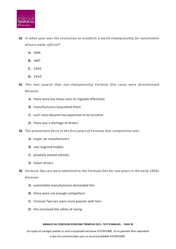

- *92. In what year was the resolution to establish a world championship for automobile drivers made official?*
	- **A.** 1946
	- **B.** 1947
	- **C.** 1949
	- **D.** 1950
- *93. This text asserts that non-championship Formula One races were discontinued because:*
	- **A.** there were too many races to regulate effectively
	- **B.** manufacturers boycotted them
	- **C.** such races became too expensive to be lucrative
	- **D.** there was a shortage of drivers
- *94. The preeminent force in the first years of Formula One competition was:*
	- **A.** major car manufacturers
	- **B.** rear-engined models
	- **C.** privately owned vehicles
	- **D.** Italian drivers
- *95. Formula Two cars were admitted to the Formula One for two years in the early 1950s because:*
	- **A.** automobile manufacturers demanded this
	- **B.** there were not enough competitors
	- **C.** Formula Two cars were more popular with fans
	- **D.** this increased the safety of racing

#### **ANNALES DU CONCOURS ECRICOME TREMPLIN 2015 : TEST D'ANGLAIS - PAGE 30**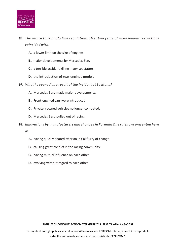

- *96. The return to Formula One regulations after two years of more lenient restrictions coincided with:*
	- **A.** a lower limit on the size of engines
	- **B.** major developments by Mercedes Benz
	- **C.** a terrible accident killing many spectators
	- **D.** the introduction of rear-engined models
- *97. What happened as a result of the incident at Le Mans?*
	- **A.** Mercedes Benz made major developments.
	- **B.** Front-engined cars were introduced.
	- **C.** Privately owned vehicles no longer competed.
	- **D.** Mercedes Benz pulled out of racing.
- *98. Innovations by manufacturers and changes in Formula One rules are presented here as:*
	- **A.** having quickly abated after an initial flurry of change
	- **B.** causing great conflict in the racing community
	- **C.** having mutual influence on each other
	- **D.** evolving without regard to each other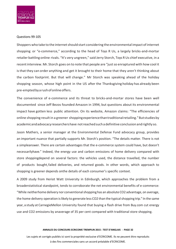

#### Questions 99-105

Shoppers who take to the internet should start considering the environmental impact of internet shopping or "e-commerce," according to the head of Toys R Us, a largely bricks-and-mortar retailer battling online rivals. "It's very ungreen," said Jerry Storch, Toys R Us chief executive, in a recent interview. Mr. Storch goes on to note that people are "just so enraptured with how cool it isthat they can order anything and get it brought to their home that they aren't thinking about the carbon footprint. But that will change." Mr Storch was speaking ahead of the holiday shopping season, whose high point in the US after the Thanksgiving holiday has already been pre-emptedbyarushofonlineoffers.

The convenience of e-commerce and its threat to bricks-and-mortar stores have been well documented since Jeff Bezos founded Amazon in 1994, but questions about its environmental impact have gotten less public attention. On its website, Amazon claims: "The efficiencies of online shopping resultin a greener shoppingexperiencethantraditionalretailing."Butstudiesby academicandadvocacyresearchershave notreachedsuchadefinitive conclusionandrightly so.

Jason Mathers, a senior manager at the Environmental Defense Fund advocacy group, provides an important nuance that partially supports Mr. Storch's position. "The details matter. There is not a simpleanswer. There are certain advantages that the e-commerce system could have, but doesn't necessarilyhave." Indeed, the energy use and carbon emissions of home delivery compared with store shoppingdepend on several factors: the vehicles used, the distance travelled, the number of products bought,failed deliveries, and returned goods. In other words, which approach to shopping is greener depends onthe details of each consumer's specific context.

A 2009 study from Heriot Watt University in Edinburgh, which approaches the problem from a broaderstatistical standpoint, tends to corroborate the net environmental benefits of e-commerce: "While neitherhome delivery nor conventionalshopping has an absolute CO2 advantage, on average, the home delivery operation is likely to generate less CO2 than the typical shopping trip." In the same year, a study at CarnegieMellon University found that buying a flash drive from Buy.com cut energy use and CO2 emissions by anaverage of 35 per cent compared with traditional store shopping.

#### **ANNALES DU CONCOURS ECRICOME TREMPLIN 2015 : TEST D'ANGLAIS - PAGE 32**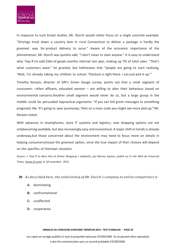

In response to such broad studies, Mr. Storch would rather focus on a single concrete example: "Drivinga truck down a country lane in rural Connecticut to deliver a package is hardly the greenest way for product delivery to occur." Aware of the economic importance of the phenomenon, Mr. Storch was quickto add, "I don't mean to slam anyone." It is easy to understand why: Toys R Us sold \$1bn of goods overthe internet last year, making up 7% of total sales. "That's what customers want," he granted, but heforesees that "people are going to start realising, 'Wait, I'm already taking my children to school. Thestore is right there. I can just pick it up.'"

Timothy Kenyon, director of GfK's Green Gauge survey, points out that a small segment of consumers –often affluent, educated women – are willing to alter their behaviour based on environmental concerns.Another small segment would never do so, but a large group in the middle could be persuaded bypractical arguments. "If you can link green messages to something pragmatic like 'It's going to save youmoney,' then on a mass scale you might see more pick-up," Mr. Kenyon noted.

With advances in smartphones, store IT systems and logistics, new shopping options are not onlybecoming available, but also increasingly easy and economical. A majorshift in trendsis already underway,but those concerned about the environment may need to focus more on details in helping consumerschoose the greenest option, since the true impact of their choices will depend on the specifics of theirown situation.

*Source: « Toys R Us Boss Hits at Online Shopping » (adapté), par Barney Jopson, publié sur le site Web du Financial Times, (www.ft.com), le 18 novembre 2012.*

## *99. As described here, the relationship of Mr. Storch's company to online competitors is:*

- **A.** dominating
- **B.** confrontational
- **C.** unaffected
- **D.** cooperative

#### **ANNALES DU CONCOURS ECRICOME TREMPLIN 2015 : TEST D'ANGLAIS - PAGE 33**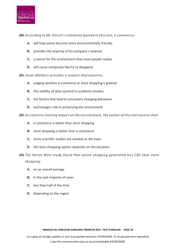

*100. According to Mr. Storch's comments quoted in this text, e-commerce:*

- **A.** will help stores become more environmentally friendly
- **B.** provides the majority of his company's revenue
- **C.** is worse for the environment than most people realise
- **D.** will cause companies like his to disappear

*101. Jason Mathers provides a nuance that concerns:*

- **A.** judging whether e-commerce or store shopping is greener
- **B.** the validity of data quoted in academicstudies
- **C.** the factors that lead to consumers changing behaviour
- **D.** technology's role in preserving the environment

*102. As concerns limiting impact on the environment, the author of this text asserts that:*

- **A.** e-commerce is better than store shopping
- **B.** store shopping is better than e-commerce
- **C.** more scientific studies are needed on the topic
- **D.** the best shopping option depends on the situation

*103. The Heriot Watt study found that online shopping generated less CO2 than store shopping:*

- **A.** on an overall average
- **B.** in the vast majority of cases
- **C.** less than half of the time
- **D.** depending on the region

**ANNALES DU CONCOURS ECRICOME TREMPLIN 2015 : TEST D'ANGLAIS - PAGE 34**

Les sujets et corrigés publiés ici sont la propriété exclusive d'ECRICOME. Ils ne peuvent être reproduits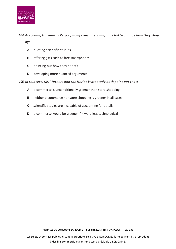

*104. According to Timothy Kenyon, many consumers might be led to change how they shop by:*

- **A.** quoting scientific studies
- **B.** offering gifts such as free smartphones
- **C.** pointing out how they benefit
- **D.** developing more nuanced arguments

*105. In this text, Mr. Mathers and the Heriot Watt study both point out that:*

- **A.** e-commerce is unconditionally greener than store shopping
- **B.** neither e-commerce nor store shopping is greener in all cases
- **C.** scientific studies are incapable of accounting for details
- **D.** e-commerce would be greener if it were less technological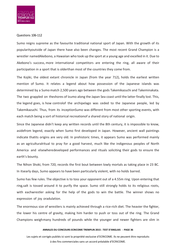

## Questions 106-112

Sumo reigns supreme as the favourite traditional national sport of Japan. With the growth of its popularityoutside of Japan there have also been changes. The most recent Grand Champion is a wrestler namedAkebono, a Hawaiian who took up the sport at a young age and excelled in it. Due to Akebono's success, more international competitors are entering the ring, all aware of their participation in a sport that is olderthan most of the countries they come from.

The Kojiki, the oldest extant chronicle in Japan (from the year 712), holds the earliest written mention of Sumo. It relates a legend about how possession of the Japanese islands was determined by a Sumo match 2,500 years ago between the gods Takemikazuchi and Takeminakata. The two grappled on theshores of Izumo along the Japan Sea coast until the latter finally lost. This, the legend goes, is how controlof the archipelago was ceded to the Japanese people, led by Takemikazuchi. Thus, from its inceptionSumo was different from most other sporting events, with each match being a sort of historical recreationof a shared story of national origin.

Since the Japanese didn't keep any written records until the 8th century, it is impossible to know, asidefrom legend, exactly when Sumo first developed in Japan. However, ancient wall paintings indicate thatits origins are very old. In prehistoric times, it appears Sumo was performed mainly as an agriculturalritual to pray for a good harvest, much like the indigenous peoples of North America and elsewheredeveloped performances and rituals soliciting their gods to ensure the earth's bounty.

The Nihon Shoki, from 720, records the first bout between lowly mortals as taking place in 23 BC. In itsearly days, Sumo appears to have been particularly violent, with no holds barred.

Sumo has few rules. The objective is to toss your opponent out of a 4.55m ring. Upon entering that ring,salt is tossed around it to purify the space. Sumo still strongly holds to its religious roots, with eachwrestler asking for the help of the gods to win the battle. The winner shows no expression of joy oradulation.

The enormous size of wrestlers is mainly achieved through a rice-rich diet. The heavier the fighter, the lower his centre of gravity, making him harder to push or toss out of the ring. The Grand Champions weighmany hundreds of pounds while the younger and newer fighters are slim in

#### **ANNALES DU CONCOURS ECRICOME TREMPLIN 2015 : TEST D'ANGLAIS - PAGE 36**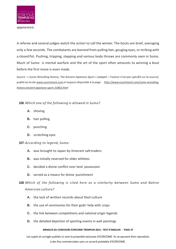

appearance.

A referee and several judges watch the action to call the winner. The bouts are brief, averaging only a few seconds. The combatants are banned from pulling hair, gouging eyes, or striking with a closed fist. Pushing, tripping, slapping and various body throws are commonly seen in Sumo. Much of Sumo is mental warfare and the art of the sport often amounts to winning a bout before the first move is even made.

Source : « Sumo Wrestling History, The Ancient Japanese Sport » (adapté - l'auteur n'est pas spécifié sur la source), *publiésurlesite [www.essortment.com e](http://www.essortment.com/)t toujours disponible à la page [http://www.essortment.com/sumo-wrestling](http://www.essortment.com/sumo-wrestling-history-ancient-japanese-sport-21863.html)[history-ancient-japanese-sport-21863.html](http://www.essortment.com/sumo-wrestling-history-ancient-japanese-sport-21863.html)*

## *106. Which one of the following is allowed in Sumo?*

- **A.** shoving
- **B.** hair pulling
- **C.** punching
- **D.** scratching eyes

## *107. According to legend, Sumo:*

- **A.** was brought to Japan by itinerant salttraders
- **B.** was initially reserved for older athletes
- **C.** decided a divine conflict over land possession
- **D.** served as a means for divine punishment

*108. Which of the following is cited here as a similarity between Sumo and Native American culture?*

- **A.** the lack of written records about theirculture
- **B.** the use of ceremonies for their gods' help with crops
- **C.** the link between competitions and national origin legends
- **D.** the detailed depiction of sporting events in wall paintings

#### **ANNALES DU CONCOURS ECRICOME TREMPLIN 2015 : TEST D'ANGLAIS - PAGE 37**

Les sujets et corrigés publiés ici sont la propriété exclusive d'ECRICOME. Ils ne peuvent être reproduits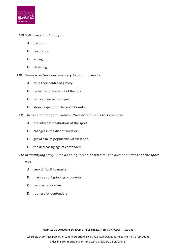

## *109. Salt is used in Sumo for:*

- **A.** traction
- **B.** decoration
- **C.** sliding
- **D.** cleansing
- *110. Sumo wrestlers become very heavy in orderto:*
	- **A.** raise their centre of gravity
	- **B.** be harder to force out of the ring
	- **C.** reduce their risk of injury
	- **D.** show respect for the gods' bounty
- *111. The recent change to Sumo culture noted in this text concerns:*
	- **A.** the internationalization of the sport
	- **B.** changes in the diet of wrestlers
	- **C.** growth in its popularity within Japan
	- **D.** the decreasing age of contenders

## *112. In qualifying early Sumo as being "no holds barred," the author means that the sport*

*was:*

- **A.** very difficult to master
- **B.** mainly about gripping opponents
- **C.** complex in its rules
- **D.** ruthless for contenders

**ANNALES DU CONCOURS ECRICOME TREMPLIN 2015 : TEST D'ANGLAIS - PAGE 38**

Les sujets et corrigés publiés ici sont la propriété exclusive d'ECRICOME. Ils ne peuvent être reproduits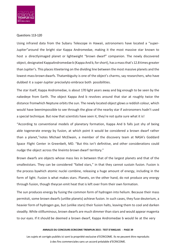

#### Questions 113-120

Using infrared data from the Subaru Telescope in Hawaii, astronomers have located a "super-Jupiter"around the bright star Kappa Andromedae, making it the most massive star known to host a directlyimaged planet or lightweight "brown dwarf" companion. The newly discovered object, designated KappaAndromedae b (Kappa And b, for short), has a mass that's 12.8 times greater than Jupiter's. This placesitteetering on the dividing line between the most massive planets and the lowest-mass brown dwarfs. Thatambiguity is one of the object's charms, say researchers, who have dubbed it a super-Jupiter preciselyto embrace both possibilities.

The star itself, Kappa Andromedae, is about 170 light years away and big enough to be seen by the nakedeye from Earth. The object Kappa And b revolves around that star at roughly twice the distance fromwhich Neptune orbits the sun. The newly located object glows a reddish colour, which would have beenimpossible to see through the glow of the nearby star if astronomers hadn't used a special technique. But now that scientists have seen it, they're not quite sure what it is!

"According to conventional models of planetary formation, Kappa And b falls just shy of being able togenerate energy by fusion, at which point it would be considered a brown dwarf rather than a planet,"notes Michael McElwain, a member of the discovery team at NASA's Goddard Space Flight Center in Greenbelt, MD. "But this isn't definitive, and other considerations could nudge the object across the lineinto brown dwarf territory."

Brown dwarfs are objects whose mass lies in between that of the largest planets and that of the smalleststars. They can be considered "failed stars," in that they cannot sustain fusion. Fusion is the process bywhich atomic nuclei combine, releasing a huge amount of energy, including in the form of light. Fusion is what makes stars. Planets, on the other hand, do not produce any energy through fusion, though theycan emit heat that is left over from their own formation.

The sun produces energy by fusing the common form of hydrogen into helium. Because their mass permitsit, some brown dwarfs (unlike planets) achieve fusion. In such cases, they fuse deuterium, a heavier form of hydrogen gas, but (unlike stars) their fusion halts, leaving them to cool and darken steadily. While stillluminous, brown dwarfs are much dimmer than stars and would appear magenta to our eyes. If it should be deemed a brown dwarf, Kappa Andromedae b would lie at the very

#### **ANNALES DU CONCOURS ECRICOME TREMPLIN 2015 : TEST D'ANGLAIS - PAGE 39**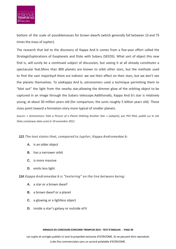

bottom of the scale of possiblemasses for brown dwarfs (which generally fall between 13 and 75 times the mass of Jupiter).

The research that led to the discovery of Kappa And b comes from a five-year effort called the StrategicExplorations of Exoplanets and Disks with Subaru (SEEDS). What sort of object this new find is, will surely be a continued subject of discussion, but seeing it at all already constitutes a spectacular feat.More than 800 planets are known to orbit other stars, but the methods used to find the vast majorityof them are indirect: we see their effect on their stars, but we don't see the planets themselves. To seeKappa And b, astronomers used a technique permitting them to "blot out" the light from the nearby star,allowing the dimmer glow of the orbiting object to be captured in an image through the Subaru telescope.Additionally, Kappa And b's star is relatively young, at about 30 million years old (for comparison, the sunis roughly 5 billion years old). These clues point toward a formation story more typical of smaller planets.

*Source: « Astronomers Take a Picture of a Planet Orbiting Another Star » (adapté), par Phil Plait, publié sur le site Slate.com(www.slate.com) le 19 novembre 2012.*

## *113. The text states that, compared to Jupiter, Kappa Andromedae b:*

- **A.** is an older object
- **B.** has a narrower orbit
- **C.** is more massive
- **D.** emits less light

## *114. Kappa Andromedae b is "teetering" on the line between being:*

- **A.** a star or a brown dwarf
- **B.** a brown dwarf or a planet
- **C.** a glowing or a lightless object
- **D.** inside a star's galaxy or outside ofit

#### **ANNALES DU CONCOURS ECRICOME TREMPLIN 2015 : TEST D'ANGLAIS - PAGE 40**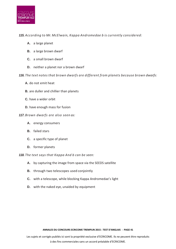

## *115. According to Mr. McElwain, Kappa Andromedae b is currently considered:*

- **A.** a large planet
- **B.** a large brown dwarf
- **C.** a small brown dwarf
- **D.** neither a planet nor a brown dwarf

*116. The text notes that brown dwarfs are different from planets because brown dwarfs:*

- **A.** do not emit heat
- **B.** are duller and chillier than planets
- **C.** have a wider orbit
- **D.** have enough mass for fusion

## *117. Brown dwarfs are also seen as:*

- **A.** energy consumers
- **B.** failed stars
- **C.** a specific type of planet
- **D.** former planets

*118. The text says that Kappa And b can be seen:*

- **A.** by capturing the image from space via the SEEDS satellite
- **B.** through two telescopes used conjointly
- **C.** with a telescope, while blocking Kappa Andromedae's light
- **D.** with the naked eye, unaided by equipment

**ANNALES DU CONCOURS ECRICOME TREMPLIN 2015 : TEST D'ANGLAIS - PAGE 41**

Les sujets et corrigés publiés ici sont la propriété exclusive d'ECRICOME. Ils ne peuvent être reproduits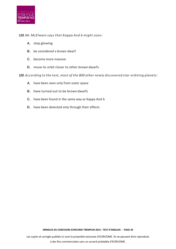

## *119. Mr. McElwain says that Kappa And b might soon:*

- **A.** stop glowing
- **B.** be considered a brown dwarf
- **C.** become more massive
- **D.** move its orbit closer to other browndwarfs

*120. According to the text, most of the 800 other newly discovered star-orbiting planets:*

- **A.** have been seen only from outer space
- **B.** have turned out to be brown dwarfs
- **C.** have been found in the same way as Kappa And b
- **D.** have been detected only through their effects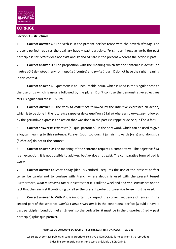

## **CORRIGÉ**

## **Section 1 – structures**

1. **Correct answer C** : The verb is in the present perfect tense with the adverb *already.* The present perfect requires the auxiliary have + past participle. *To sit* is an irregular verb, the past participle is *sat. Sitted* does not exist and *sit* and *sits* are in the present whereas the action is past.

2. **Correct answer D** : The preposition with the meaning which fits the sentence is *across* (de l'autre côté de), *about* (environ), *against* (contre) and *amidst* (parmi) do not have the right meaning in this context.

3. **Correct answer A**: *Equipment* is an uncountable noun, which is used in the singular despite the use of *all* which is usually followed by the plural. Don't confuse the demonstrative adjectives *this* + singular and *these* + plural.

4. **Correct answer B**: The verb *to remember* followed by the infinitive expresses an action, which is to be done in the future (se rappeler de ce que l'on a à faire) whereas *to remember* followed by the gerundive expresses an action that was done in the past (se rappeler de ce que l'on a fait).

5. **Correct answer B**: *Wherever* (où que, partout où) is the only word, which can be used to give a logical meaning to this sentence. *Forever* (pour toujours, à jamais), towards (vers) and alongside (à côté de) do not fit the context.

6. **Correct answer D***:* The meaning of the sentence requires a comparative. The adjective *bad* is an exception, it is not possible to add –er, b*adder* does not exist. The comparative form of bad is *worse*.

7. **Correct answer C**: *Since Friday* (depuis vendredi) requires the use of the present perfect tense, be careful not to confuse with French where depuis is used with the present tense! Furthermore, *what a weekend this is* indicates that it is still the weekend and *non-stop* insists on the fact that the rain is still continuing to fall so the present perfect progressive tense must be used.

8. **Correct answer A**: With *if* it is important to respect the correct sequence of tenses. In the second part of the sentence *wouldn't have snuck out* is in the conditional perfect (would + have + past participle) (conditionnel antérieur) so the verb after *if* must be in the pluperfect (had + past participle) (plus que parfait).

#### **ANNALES DU CONCOURS ECRICOME TREMPLIN 2015 : TEST D'ANGLAIS - PAGE 43**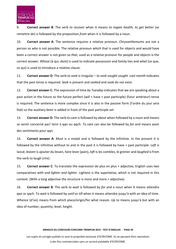

9. **Correct answer B***:* The verb *to recover* when it means *to regain health, to get better* (se remettre de) is followed by the preposition *from* when it is followed by a noun.

10. **Correct answer A**: The sentence requires a relative pronoun. *Chrysanthemums* are not a person so *who* is not possible. The relative pronoun *which* that is used for objects and would have been a correct answer is not given so *that,* used as a relative pronoun for people and objects is the correct answer. *Whose* (à qui, dont) is used to indicate possession and family ties and *what* (ce que, ce qui) is used to introduce a relative clause.

11. **Correct answer D**: The verb *to seek* is irregular – *to seek sought sought*. *Last month* indicates that the past tense is required. *Seek* is present and *seeked* and *sook* do not exist.

12. **Correct answer C***:* The expression of time *by Tuesday* indicates that we are speaking about a past action in the future so the future perfect (will + have + past participle) (futur antérieur) tense is required. The sentence is more complex since it is also in the passive form (l'ordre du jour sera fixé) so the auxiliary *been* is added in front of the past participle *set*.

13. **Correct answer D**: The verb *to care* is followed by *about* when followed by a noun and means se sentir concerné par/ tenir à qqn ou qqch. *To care* can also be followed by *for* and means avoir des sentiments pour qqn.

14. **Correct answer A***: Must* is a modal and is followed by the infinitive. In the present it is followed by the infinitive without to and in the past it is followed by have + past participle. *Left* is laissé, *leaven* is ajouter du levain, faire lever (pain), *loft* is les combles, le grenier and *laughed* is from the verb to laugh (rire).

15. **Correct answer C**: To translate the expression de plus en plus + adjective, English uses two comparatives with and *lighter and lighter*. Lightest is the superlative, which is not required in this context. (With a long adjective the structure is more and more + adjective).

16. **Correct answer B**: The verb *to wait* is followed by *for* and a noun when it means attendre qqn or qqch. To *wait* is followed by *until* or *till* when it means attendre jusqu'à with an idea of time. *Whence* (d'où) means from which place/origin/for what reason. *Up to* means jusqu'à but with an idea of number, quantity, level, height.

#### **ANNALES DU CONCOURS ECRICOME TREMPLIN 2015 : TEST D'ANGLAIS - PAGE 44**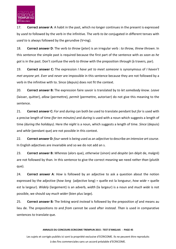

17. **Correct answer A**: A habit in the past, which no longer continues in the present is expressed by *used to* followed by the verb in the infinitive. The verb *to be* conjugated in different tenses with *used to* is always followed by the gerundive (V+ing).

18. **Correct answer D**: The verb *to throw* (jeter) is an irregular verb : *to throw, threw thrown*. In this sentence the simple past is required because the first part of the sentence with *as soon as he got* is in the past. Don't confuse the verb *to throw* with the preposition *through* (à travers, par).

19. **Correct answer C:** The expression *I have yet to meet someone* is synonymous of *I haven't met anyone yet. Ever* and *never* are impossible in this sentence because they are not followed by a verb in the infinitive with to. Since (depuis) does not fit the context.

20. **Correct answer B:** The expression faire savoir is translated by *to let somebody know. Leave* (laisser, quitter), *allow* (permettre), *permit* (permettre, autoriser) do not give this meaning to the sentence.

21. **Correct answer C:** *For* and *during* can both be used to translate pendant but *for* is used with a precise length of time *(for ten minutes)* and *during* is used with a noun which suggests a length of time *(during the holidays)*. Here *the night* is a noun, which suggests a length of time. *Since* (depuis) and *while* (pendant que) are not possible in this context.

22. **Correct answer D:** *four-week* is being used as an adjective to describe *an intensive art course*. In English adjectives are invariable and so we do not add an s.

23. **Correct answer B:** *Whereas* (alors que), *otherwise* (sinon) and *despite* (en dépit de, malgré) are not followed by than. In this sentence to give the correct meaning we need *rather than* (plutôt que).

24. **Correct answer A**: *How* is followed by an adjective to ask a question about the notion expressed by the adjective (*how long* (adjective long) = quelle est la longueur, *how wide* = quelle est la largeur). *Widely* (largement) is an adverb, *width* (la largeur) is a noun and *much wide* is not possible, we should say *much wider* (bien plus large).

25. **Correct answer B***:* The linking word *instead* is followed by the preposition *of* and means au lieu de. The prepositions *to* and *from* cannot be used after i*nstead*. *Than* is used in comparative sentences to translate que.

#### **ANNALES DU CONCOURS ECRICOME TREMPLIN 2015 : TEST D'ANGLAIS - PAGE 45**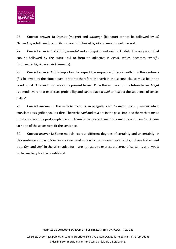

26. **Correct answer B:** *Despite* (malgré) and *although* (bienque) cannot be followed by *of. Depending* is followed by *on. Regardless* is followed by *of* and means quel que soit.

27. **Correct answer C:** *Pointful, senseful* and *exciteful* do not exist in English. The only noun that can be followed by the suffix –ful to form an adjective is *event,* which becomes *eventful*  (mouvementé, riche en évènements).

28. **Correct answer A**: It is important to respect the sequence of tenses with *if*. In this sentence *if* is followed by the simple past (preterit) therefore the verb in the second clause must be in the conditional. *Dare* and *must* are in the present tense. *Will* is the auxiliary for the future tense. *Might* is a modal verb that expresses probability and can replace *would* to respect the sequence of tenses with *if*.

29. **Correct answer C**: The verb *to mean* is an irregular verb *to mean, meant, meant* which translates as signifier, vouloir dire. The verbs *said* and *told* are in the past simple so the verb *to mean* must also be in the past simple *meant. Mean* is the present, *mint* is la menthe and *mend* is réparer so none of these answers fit the sentence.

30. **Correct answer B**: Some modals express different degrees of certainty and uncertainty. In this sentence *Tom won't be sure* so we need *may* which expresses uncertainty, in French il se peut que. *Can* and *shall* in the affirmative form are not used to express a degree of certainty and *would* is the auxiliary for the conditional.

Les sujets et corrigés publiés ici sont la propriété exclusive d'ECRICOME. Ils ne peuvent être reproduits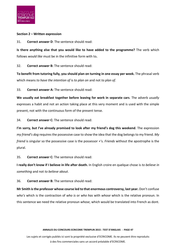

## **Section 2 – Written expression**

31. **Correct answer D**: The sentence should read:

**Is there anything else that you would like to have added to the programme?** The verb which follows *would like* must be in the infinitive form with to**.**

32. **Correct answer B:** The sentence should read:

**To benefit from tutoring fully, you should plan on turning in one essay per week.** The phrasal verb which means *to have the intention of* is *to plan on* and not *to plan of.*

33. **Correct answer A:** The sentence should read:

**We usually eat breakfast together before leaving for work in separate cars**. The adverb *usually* expresses a habit and not an action taking place at this very moment and is used with the simple present, not with the continuous form of the present tense.

34. **Correct answer C:** The sentence should read:

**I'm sorry, but I've already promised to look after my friend's dog this weekend**. The expression *my friend's dog* requires the possessive case to show the idea that the dog belongs to my friend. *My friend* is singular so the possessive case is the possessor +'s. *Friends* without the apostrophe is the plural.

35. **Correct answer C:** The sentence should read:

**I really don't know if I believe in life after death.** In English croire en quelque chose is *to believe in something* and not *to believe about*.

36. **Correct answer B:** The sentence should read:

**Mr Smith is the professor whose course led to that enormous controversy, last year.** Don't confuse *who's* which is the contraction of *who is* or *who has* with *whose* which is the relative pronoun. In this sentence we need the relative pronoun *whose*, which would be translated into French as dont.

#### **ANNALES DU CONCOURS ECRICOME TREMPLIN 2015 : TEST D'ANGLAIS - PAGE 47**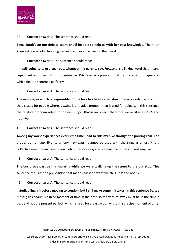

37. **Correct answer D:** The sentence should read:

**Since Sarah's on our debate team, she'll be able to help us with her vast knowledge.** The noun *knowledge* is a collective singular and can never be used in the plural.

38. **Correct answer C:** The sentence should read:

**I'm still going to take a year out, whatever my parents say.** *However* is a linking word that means cependant and does not fit this sentence. *Whatever* is a pronoun that translates as quoi que and which fits the sentence perfectly.

39. **Correct answer A:** The sentence should read:

**The newspaper which is responsible for the leak has been closed down.** *Who* is a relative pronoun that is used for people whereas *which* is a relative pronoun that is used for objects. In this sentence the relative pronoun refers to *the newspaper* that is an object, therefore we must use *which* and not *who*.

40. **Correct answer A:** The sentence should read:

**Among my worst experiences ever is the time I had to ride my bike through the pouring rain.** The preposition *among*, like its synonym *amongst*, cannot be used with the singular unless it is a collective noun (team, crew, crowd etc.) therefore *experience* must be plural and not singular.

41. **Correct answer A**: The sentence should read:

**The bus drove past us this morning while we were walking up the street to the bus stop.** This sentence requires the preposition that means passer devant which is *past* and not *by*.

42. **Correct answer A:** The sentence should read:

**I studied English before moving to London, but I still make some mistakes.** In this sentence *before moving to London* is a fixed moment of time in the past, so the verb *to study* must be in the simple past and not the present perfect, which is used for a past action without a precise moment of time.

#### **ANNALES DU CONCOURS ECRICOME TREMPLIN 2015 : TEST D'ANGLAIS - PAGE 48**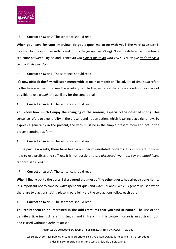

43. **Correct answer D:** The sentence should read:

**When you leave for your interview, do you expect me to go with you?** The verb *to expect* is followed by the infinitive with to and not by the gerundive (V+ing). Note the difference in sentence structure between English and French *do you expect me to go with you? – Est-ce que tu t'attends à ce que j'aille avec toi?.*

44. **Correct answer B:** The sentence should read:

**It's now official: the firm will soon merge with its main competitor.** The adverb of time *soon* refers to the future so we must use the auxiliary *will*. In this sentence there is no condition so it is not possible to use *would*, the auxiliary for the conditional.

45. **Correct answer A:** The sentence should read:

**You know how much I enjoy the changing of the seasons, especially the onset of spring.** This sentence refers to a generality in the present and not an action, which is taking place right now. To express a generality in the present, the verb must be in the simple present form and not in the present continuous form.

46. **Correct answer D:** The sentence should read:

**In the past few weeks, there have been a number of unrelated incidents.** It is important to know how to use prefixes and suffixes. It is not possible to say *disrelated*, we must say *unrelated* (sans rapport, sans lien).

47. **Correct answer A:** The sentence should read:

**When I finally got to the party, I discovered that most of the other guests had already gone home.** It is important not to confuse *while* (pendant que) and *when* (quand). *While* is generally used when there are two actions taking place in parallel. Here the two actions follow each other.

48. **Correct answer D:** The sentence should read:

**You really seem to be interested in the odd creatures that you find in nature**. The use of the definite article *the* is different in English and in French. In this context *nature* is an abstract noun and is used without a definite article.

#### **ANNALES DU CONCOURS ECRICOME TREMPLIN 2015 : TEST D'ANGLAIS - PAGE 49**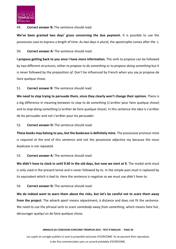

## 49. **Correct answer B:** The sentence should read:

**We've been granted two days' grace concerning the due payment.** It is possible to use the possessive case to express a length of time. As *two days* is plural, the apostrophe comes after the s.

50. **Correct answer A:** The sentence should read:

**I propose getting back to you once I have more information.** The verb *to propose* can be followed by two different structures, either *to propose to do something* or *to propose doing something* but it is never followed by the preposition *of.* Don't be influenced by French when you say je propose de faire quelque chose.

51. **Correct answer B**: The sentence should read:

**We need to stop trying to persuade them, since they clearly won't change their opinion.** There is a big difference in meaning between *to stop to do something* (s'arrêter pour faire quelque chose) and *to stop doing something* (s'arrêter de faire quelque chose). In this sentence the idea is s'arrêter de les persuader and not s'arrêter pour les persuader.

52. **Correct answer D:** The sentence should read:

**These books may belong to you, but the bookcase is definitely mine.** The possessive pronoun *mine* is required at the end of this sentence and not the possessive adjective *my* because the noun *bookcase* is not repeated.

53. **Correct answer A:** The sentence should read:

**We didn't have to clock in until 9:30 in the old days, but now we start at 9.** The modal verb *must* is only used in the present tense and is never followed by to. In the simple past *must* is replaced by its equivalent which is *had to.* Here the sentence is negative so we must use *didn't have to*.

54. **Correct answer D:** The sentence should read:

**We do indeed want to warn them about the risks, but let's be careful not to scare them away from the project**. The adverb *apart* means séparément, à distance and does not fit the sentence. We need to use the phrasal verb *to scare somebody away from something,* which means faire fuir, décourager quelqu'un de faire quelque chose.

#### **ANNALES DU CONCOURS ECRICOME TREMPLIN 2015 : TEST D'ANGLAIS - PAGE 50**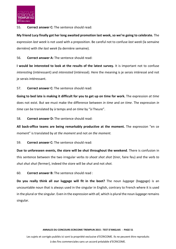

## 55. **Correct answer C:** The sentence should read:

**My friend Lucy finally got her long awaited promotion last week, so we're going to celebrate.** The expression *last week* is not used with a preposition. Be careful not to confuse *last week* (la semaine dernière) with *the last week* (la dernière semaine).

56. **Correct answer A:** The sentence should read:

**I would be interested to look at the results of the latest survey.** It is important not to confuse *interesting* (intéressant) and *interested* (intéressé). Here the meaning is je serais intéressé and not je serais intéressant.

57. **Correct answer C:** The sentence should read:

**Going to bed late is making it difficult for you to get up on time for work.** The expression *at time* does not exist. But we must make the difference between *in time* and *on time*. The expression *in time* can be translated by à temps and *on time* by "à l'heure".

58. **Correct answer D:** The sentence should read:

**All back-office teams are being remarkably productive at the moment.** The expression "en ce moment" is translated by *at the moment* and not *on the moment.*

59. **Correct answer C:** The sentence should read:

**Due to unforeseen events, the store will be shut throughout the weekend**. There is confusion in this sentence between the two irregular verbs *to shoot shot shot* (tirer, faire feu) and the verb *to shut shut shut* (fermer), indeed the store will be *shut* and not *shot.*

60. **Correct answer B:** The sentence should read :

**Do you really think all our luggage will fit in the boot?** The noun *luggage* (baggage) is an uncountable noun that is always used in the singular in English, contrary to French where it is used in the plural or the singular. Even in the expression with *all*, which is plural the noun *luggage* remains singular.

#### **ANNALES DU CONCOURS ECRICOME TREMPLIN 2015 : TEST D'ANGLAIS - PAGE 51**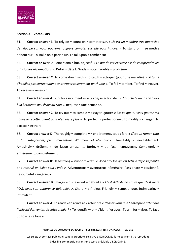

## **Section 3 – Vocabulary**

61. **Correct answer B:** To rely on = count on = compter sur. *« Liz est un membre très appréciée de l'équipe car nous pouvons toujours compter sur elle pour innover »* To stand on = se mettre debout sur. To stake on = parier sur. To fall upon = tomber sur

62. **Correct answer D:** Point = aim = but, objectif. *« Le but de cet exercice est de comprendre les principales réclamations ».* Detail = détail. Grade = note. Trouble = problème

63. **Correct answer C:** To come down with = to catch = attraper (pour une maladie). *« Si tu ne t'habilles pas correctement tu attraperas surement un rhume ».* To fall = tomber. To find = trouver. To receive = recevoir

64. **Correct answer A:** bunch = assortment = un tas de/sélection de. *. « J'ai acheté un tas de livres à la kermesse de l'école du coin ».* Request = une demande.

65. **Correct answer C:** To try out = to sample = essayer, gouter *« Est-ce que tu veux gouter ma nouvelle recette, avant qu'il n'en reste plus* ». To perfect = perfectionner. To modify = changer. To extract = extraire

66. **Correct answer D:** Thoroughly = completely = entièrement, tout à fait. *« C'est un roman tout à fait satisfaisant, plein d'aventure, d'humour et d'amour ».* Inevitably = inévitablement. Amusingly = drôlement, de façon amusante. Boringly = de façon ennuyeuse. Completely = entièrement, complétement

67. **Correct answer B:** Headstrong = stubborn = têtu *« Mon ami Joe qui est têtu, a défié sa famille et a réservé un billet pour l'Inde ».* Adventurous = aventureux, téméraire. Passionate = passionné. Resourceful = ingénieux.

68. **Correct answer B:** Shaggy = dishevelled = débraillé *« C'est difficile de croire que c'est lui le PDG, avec son apparence débraillée ».* Sharp = vif, aigu. Friendly = sympathique. Intimidating = intimidant.

69. **Correct answer A:** To reach = to arrive at = atteindre *« Pensez-vous que l'entreprise atteindra l'objectif des ventes de cette année ? »* To identify with = s'identifier avec. To aim for = viser. To face up to = faire face à.

#### **ANNALES DU CONCOURS ECRICOME TREMPLIN 2015 : TEST D'ANGLAIS - PAGE 52**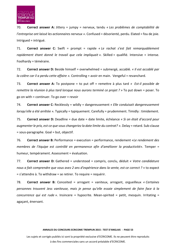

70. **Correct answer A:** Jittery = jumpy = nerveux, tendu *« Les problèmes de comptabilité de l'entreprise ont laissé les actionnaires nerveux »*. Confused = désorienté, perdu. Elated = fou de joie. Intrigued = intrigué.

71. **Correct answer C:** Swift = prompt = rapide *« Le rachat s'est fait remarquablement rapidement étant donné le travail que cela impliquait ».* Skilled = qualifié. Intensive = intense. Foolhardy = téméraire.

72. **Correct answer D:** Beside himself = overwhelmed = submergé, accablé. *« Il est accablé par la colère car il a perdu cette affaire ».* Controlling = avoir en main. Vengeful = revanchard.

73. **Correct answer A:** To postpone = to put off = remettre à plus tard *« Est-il possible de remettre la réunion à plus tard lorsque nous aurons terminé ce projet ? »* To put down = poser. To go on with = continuer. To go over = revoir

74. **Correct answer C:** Recklessly = wildly = dangereusement *« Elle conduisait dangereusement lorsqu'elle a été arrêtée ».* Typically = typiquement. Carefully = prudemment. Timidly : timidement.

75. **Correct answer D:** Deadline = due date = date limite, échéance *« Si on était d'accord pour augmenter le prix, est-ce que vous changeriez la date limite du contrat? »*. Delay = retard. Sub-clause = sous-paragraphe. Goal = but, objectif.

76. **Correct answer B:** Performance = execution = performance, rendement *«Le rendement des membres de l'équipe est contrôlé en permanence afin d'améliorer la productivité»*. Temper = humeur, tempérament. Assessment = évaluation.

77. **Correct answer D:** Gathered = understood = compris, conclu, déduit *« Votre candidature nous a fait comprendre que vous avez 2 ans d'expérience dans la vente, est-ce correct ?* » to expect = s'attendre à. To withdraw = se retirer. To require = requérir.

78. **Correct answer B:** Conceited = arrogant = vaniteux, arrogant, orgueilleux *« Certaines personnes trouvent Jess vaniteuse, mais je pense qu'elle essaie simplement de faire face à la concurrence qui est rude ».* Insincere = hypocrite. Mean-spirited = petit, mesquin. Irritating = agaçant, énervant.

#### **ANNALES DU CONCOURS ECRICOME TREMPLIN 2015 : TEST D'ANGLAIS - PAGE 53**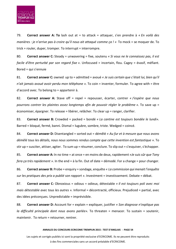

79. **Correct answer A: To** lash out at = to attack = attaquer, s'en prendre à *« En voilà des manières : je n'arrive pas à croire qu'il nous ait attaqué comme ça ! »* To mock = se moquer de. To trick = rouler, duper, tromper. To interrupt = interrompre.

80. **Correct answer C:** Steady = unwavering = fixe, soutenu *« Si vous ne le connaissez pas, il est facile d'être perturbé par son regard fixe »*. Unfocused = incertain, flou. Cagey = évasif, méfiant. Bored = qui s'ennuie

81. **Correct answer C:** owned up to = admitted = avoué *« Je suis certain que c'était lui, bien qu'il n'ait jamais avoué avoir perdu mon téléphone ».* To coin = inventer, formuler. To agree with = être d'accord avec. To belong to = appartenir à.

82. **Correct answer A:** Stave off = repel = repousser, écarter, contrer *« J'espère que nous pourrons contrer les plaintes assez longtemps afin de pouvoir régler le problème ».* To save up = économiser, épargner. To release = libérer, relâcher. To clear up = ranger, clarifier.

83. **Correct answer B:** Crowded = packed = bondé *« La cantine est toujours bondée le lundi».* Barred = bloqué, fermé, banni. Dismal = lugubre, sombre, triste. Wedged = coincé.

84. **Correct answer D:** Disentangled = sorted out = démêlé *« Au fur et à mesure que nous avons démêlé tous les détails, nous nous sommes rendus compte que cette invention est fantastique ».* To stir up = susciter, attiser, agiter. To sum up = résumer, conclure. To slip out = s'esquiver, s'échapper.

85. **Correct answer A:** In no time = at once = en moins de deux, rapidement *«Je suis sûr que Tony fera ça très rapidement »*. In the end = à la fin. Out of date = démodé. For a change = pour changer.

86. **Correct answer B:** Probe = enquiry = sondage, enquête *« La commission qui menait l'enquête sur les pratiques des prix a publié son rapport »*. Investment = investissement. Debate = débat.

87. **Correct answer C:** Obnoxious = odious = odieux, détestable *« Il est toujours poli avec moi mais détestable avec tous les autres ».* Informal = décontracté, officieux. Prejudiced = partial, avec des idées préconçues. Unpredictable = imprévisible.

88. **Correct answer D:** Account for = explain = expliquer, justifier *« Son diagnose n'explique pas la difficulté principale dont nous avons parlée».* To threaten = menacer. To sustain = soutenir, maintenir. To return = retourner, rentrer.

#### **ANNALES DU CONCOURS ECRICOME TREMPLIN 2015 : TEST D'ANGLAIS - PAGE 54**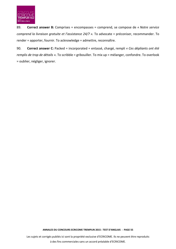

89. **Correct answer B:** Comprises = encompasses = comprend, se compose de *« Notre service comprend la livraison gratuite et l'assistance 24/7 ».* To advocate = préconiser, recommander. To render = apporter, fournir. To acknowledge = admettre, reconnaître.

90. **Correct answer C:** Packed = incorporated = entassé, chargé, rempli *« Ces dépliants ont été remplis de trop de détails ».* To scribble = gribouiller. To mix up = mélanger, confondre. To overlook = oublier, négliger, ignorer.

**ANNALES DU CONCOURS ECRICOME TREMPLIN 2015 : TEST D'ANGLAIS - PAGE 55**

Les sujets et corrigés publiés ici sont la propriété exclusive d'ECRICOME. Ils ne peuvent être reproduits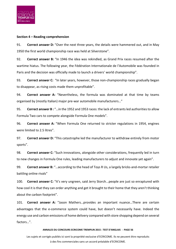

## **Section 4 – Reading comprehension**

91. **Correct answer D:** "Over the next three years, the details were hammered out, and in May 1950 the first world championship race was held at Silverstone".

92. **Correct answer B:** "In 1946 the idea was rekindled, as Grand Prix races resumed after the wartime hiatus. The following year, the Fédération Internationale de l'Automobile was founded in Paris and the decision was officially made to launch a drivers' world championship".

93. **Correct answer C:** "In later years, however, those non-championship races gradually began to disappear, as rising costs made them unprofitable".

94. **Correct answer A:** "Nevertheless, the formula was dominated at that time by teams organised by (mostly Italian) major pre-war automobile manufacturers…"

95. **Correct answer B :** "…in the 1952 and 1953 races: the lack of entrants led authorities to allow Formula Two cars to compete alongside Formula One models".

96. **Correct answer A:** "When Formula One returned to stricter regulations in 1954, engines were limited to 2.5 litres".

97. **Correct answer D:** "This catastrophe led the manufacturer to withdraw entirely from motor sports".

98. **Correct answer C:** "Such innovations, alongside other considerations, frequently led in turn to new changes in Formula One rules, leading manufacturers to adjust and innovate yet again".

99. **Correct answer B:** "…according to the head of Toys R Us, a largely bricks-and-mortar retailer battling online rivals"

100. **Correct answer C:** "It's very ungreen, said Jerry Storch...people are just so enraptured with how cool it is that they can order anything and get it brought to their home that they aren't thinking about the carbon footprint".

101. **Correct answer A:** "Jason Mathers…provides an important nuance…There are certain advantages that the e-commerce system could have, but doesn't necessarily have. Indeed the energy use and carbon emissions of home delivery compared with store shopping depend on several factors…".

#### **ANNALES DU CONCOURS ECRICOME TREMPLIN 2015 : TEST D'ANGLAIS - PAGE 56**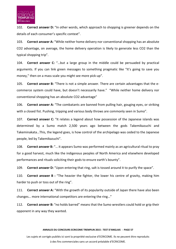

102. **Correct answer D:** "In other words, which approach to shopping is greener depends on the details of each consumer's specific context".

103. **Correct answer A:** "While neither home delivery nor conventional shopping has an absolute CO2 advantage, on average, the home delivery operation is likely to generate less CO2 than the typical shopping trip".

104. **Correct answer C:** "…but a large group in the middle could be persuaded by practical arguments. If you can link green messages to something pragmatic like "It's going to save you money," then on a mass scale you might see more pick-up".

105. **Correct answer B:** "There is not a simple answer. There are certain advantages that the ecommerce system could have, but doesn't necessarily have." "While neither home delivery nor conventional shopping has an absolute CO2 advantage"

106. **Correct answer A:** "The combatants are banned from pulling hair, gouging eyes, or striking with a closed fist. Pushing, tripping and various body throws are commonly seen in Sumo".

107. **Correct answer C:** "It relates a legend about how possession of the Japanese islands was determined by a Sumo match 2,500 years ago between the gods Takemikazuchi and Takeminakata…This, the legend goes, is how control of the archipelago was ceded to the Japanese people, led by Takemikazuchi".

108. **Correct answer B:** "… it appears Sumo was performed mainly as an agricultural ritual to pray for a good harvest, much like the indigenous peoples of North America and elsewhere developed performances and rituals soliciting their gods to ensure earth's bounty".

109. **Correct answer D:** "Upon entering that ring, salt is tossed around it to purify the space".

110. **Correct answer B :** "The heavier the fighter, the lower his centre of gravity, making him harder to push or toss out of the ring".

111. **Correct answer A:** "With the growth of its popularity outside of Japan there have also been changes… more international competitors are entering the ring…"

112. **Correct answer B:** "no holds barred" means that the Sumo wrestlers could hold or grip their opponent in any way they wanted.

#### **ANNALES DU CONCOURS ECRICOME TREMPLIN 2015 : TEST D'ANGLAIS - PAGE 57**